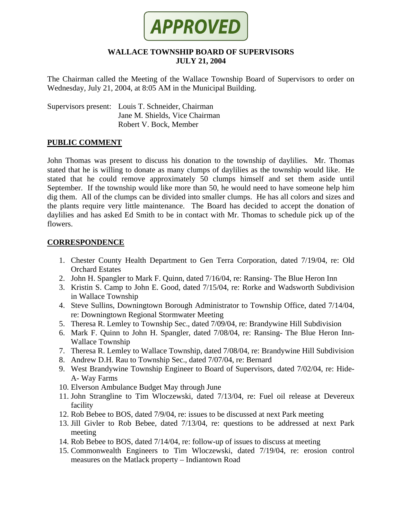

## **WALLACE TOWNSHIP BOARD OF SUPERVISORS JULY 21, 2004**

The Chairman called the Meeting of the Wallace Township Board of Supervisors to order on Wednesday, July 21, 2004, at 8:05 AM in the Municipal Building.

Supervisors present: Louis T. Schneider, Chairman Jane M. Shields, Vice Chairman Robert V. Bock, Member

### **PUBLIC COMMENT**

John Thomas was present to discuss his donation to the township of daylilies. Mr. Thomas stated that he is willing to donate as many clumps of daylilies as the township would like. He stated that he could remove approximately 50 clumps himself and set them aside until September. If the township would like more than 50, he would need to have someone help him dig them. All of the clumps can be divided into smaller clumps. He has all colors and sizes and the plants require very little maintenance. The Board has decided to accept the donation of daylilies and has asked Ed Smith to be in contact with Mr. Thomas to schedule pick up of the flowers.

### **CORRESPONDENCE**

- 1. Chester County Health Department to Gen Terra Corporation, dated 7/19/04, re: Old Orchard Estates
- 2. John H. Spangler to Mark F. Quinn, dated 7/16/04, re: Ransing- The Blue Heron Inn
- 3. Kristin S. Camp to John E. Good, dated 7/15/04, re: Rorke and Wadsworth Subdivision in Wallace Township
- 4. Steve Sullins, Downingtown Borough Administrator to Township Office, dated 7/14/04, re: Downingtown Regional Stormwater Meeting
- 5. Theresa R. Lemley to Township Sec., dated 7/09/04, re: Brandywine Hill Subdivision
- 6. Mark F. Quinn to John H. Spangler, dated 7/08/04, re: Ransing- The Blue Heron Inn-Wallace Township
- 7. Theresa R. Lemley to Wallace Township, dated 7/08/04, re: Brandywine Hill Subdivision
- 8. Andrew D.H. Rau to Township Sec., dated 7/07/04, re: Bernard
- 9. West Brandywine Township Engineer to Board of Supervisors, dated 7/02/04, re: Hide-A- Way Farms
- 10. Elverson Ambulance Budget May through June
- 11. John Strangline to Tim Wloczewski, dated 7/13/04, re: Fuel oil release at Devereux facility
- 12. Rob Bebee to BOS, dated 7/9/04, re: issues to be discussed at next Park meeting
- 13. Jill Givler to Rob Bebee, dated 7/13/04, re: questions to be addressed at next Park meeting
- 14. Rob Bebee to BOS, dated 7/14/04, re: follow-up of issues to discuss at meeting
- 15. Commonwealth Engineers to Tim Wloczewski, dated 7/19/04, re: erosion control measures on the Matlack property – Indiantown Road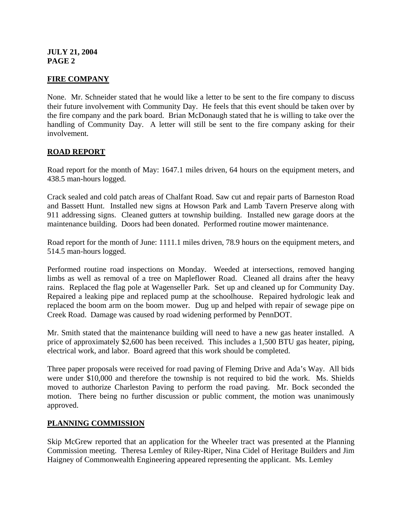# **FIRE COMPANY**

None. Mr. Schneider stated that he would like a letter to be sent to the fire company to discuss their future involvement with Community Day. He feels that this event should be taken over by the fire company and the park board. Brian McDonaugh stated that he is willing to take over the handling of Community Day. A letter will still be sent to the fire company asking for their involvement.

## **ROAD REPORT**

Road report for the month of May: 1647.1 miles driven, 64 hours on the equipment meters, and 438.5 man-hours logged.

Crack sealed and cold patch areas of Chalfant Road. Saw cut and repair parts of Barneston Road and Bassett Hunt. Installed new signs at Howson Park and Lamb Tavern Preserve along with 911 addressing signs. Cleaned gutters at township building. Installed new garage doors at the maintenance building. Doors had been donated. Performed routine mower maintenance.

Road report for the month of June: 1111.1 miles driven, 78.9 hours on the equipment meters, and 514.5 man-hours logged.

Performed routine road inspections on Monday. Weeded at intersections, removed hanging limbs as well as removal of a tree on Mapleflower Road. Cleaned all drains after the heavy rains. Replaced the flag pole at Wagenseller Park. Set up and cleaned up for Community Day. Repaired a leaking pipe and replaced pump at the schoolhouse. Repaired hydrologic leak and replaced the boom arm on the boom mower. Dug up and helped with repair of sewage pipe on Creek Road. Damage was caused by road widening performed by PennDOT.

Mr. Smith stated that the maintenance building will need to have a new gas heater installed. A price of approximately \$2,600 has been received. This includes a 1,500 BTU gas heater, piping, electrical work, and labor. Board agreed that this work should be completed.

Three paper proposals were received for road paving of Fleming Drive and Ada's Way. All bids were under \$10,000 and therefore the township is not required to bid the work. Ms. Shields moved to authorize Charleston Paving to perform the road paving. Mr. Bock seconded the motion. There being no further discussion or public comment, the motion was unanimously approved.

### **PLANNING COMMISSION**

Skip McGrew reported that an application for the Wheeler tract was presented at the Planning Commission meeting. Theresa Lemley of Riley-Riper, Nina Cidel of Heritage Builders and Jim Haigney of Commonwealth Engineering appeared representing the applicant. Ms. Lemley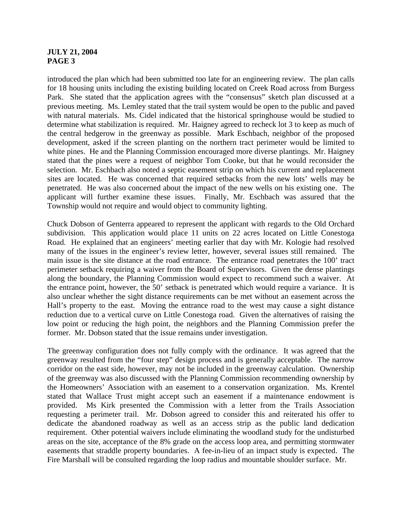introduced the plan which had been submitted too late for an engineering review. The plan calls for 18 housing units including the existing building located on Creek Road across from Burgess Park. She stated that the application agrees with the "consensus" sketch plan discussed at a previous meeting. Ms. Lemley stated that the trail system would be open to the public and paved with natural materials. Ms. Cidel indicated that the historical springhouse would be studied to determine what stabilization is required. Mr. Haigney agreed to recheck lot 3 to keep as much of the central hedgerow in the greenway as possible. Mark Eschbach, neighbor of the proposed development, asked if the screen planting on the northern tract perimeter would be limited to white pines. He and the Planning Commission encouraged more diverse plantings. Mr. Haigney stated that the pines were a request of neighbor Tom Cooke, but that he would reconsider the selection. Mr. Eschbach also noted a septic easement strip on which his current and replacement sites are located. He was concerned that required setbacks from the new lots' wells may be penetrated. He was also concerned about the impact of the new wells on his existing one. The applicant will further examine these issues. Finally, Mr. Eschbach was assured that the Township would not require and would object to community lighting.

Chuck Dobson of Genterra appeared to represent the applicant with regards to the Old Orchard subdivision. This application would place 11 units on 22 acres located on Little Conestoga Road. He explained that an engineers' meeting earlier that day with Mr. Kologie had resolved many of the issues in the engineer's review letter, however, several issues still remained. The main issue is the site distance at the road entrance. The entrance road penetrates the 100' tract perimeter setback requiring a waiver from the Board of Supervisors. Given the dense plantings along the boundary, the Planning Commission would expect to recommend such a waiver. At the entrance point, however, the 50' setback is penetrated which would require a variance. It is also unclear whether the sight distance requirements can be met without an easement across the Hall's property to the east. Moving the entrance road to the west may cause a sight distance reduction due to a vertical curve on Little Conestoga road. Given the alternatives of raising the low point or reducing the high point, the neighbors and the Planning Commission prefer the former. Mr. Dobson stated that the issue remains under investigation.

The greenway configuration does not fully comply with the ordinance. It was agreed that the greenway resulted from the "four step" design process and is generally acceptable. The narrow corridor on the east side, however, may not be included in the greenway calculation. Ownership of the greenway was also discussed with the Planning Commission recommending ownership by the Homeowners' Association with an easement to a conservation organization. Ms. Krentel stated that Wallace Trust might accept such an easement if a maintenance endowment is provided. Ms Kirk presented the Commission with a letter from the Trails Association requesting a perimeter trail. Mr. Dobson agreed to consider this and reiterated his offer to dedicate the abandoned roadway as well as an access strip as the public land dedication requirement. Other potential waivers include eliminating the woodland study for the undisturbed areas on the site, acceptance of the 8% grade on the access loop area, and permitting stormwater easements that straddle property boundaries. A fee-in-lieu of an impact study is expected. The Fire Marshall will be consulted regarding the loop radius and mountable shoulder surface. Mr.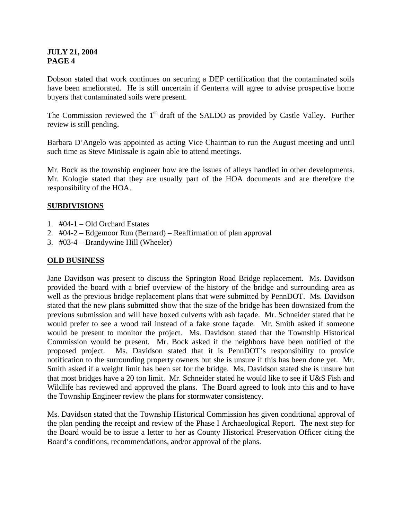Dobson stated that work continues on securing a DEP certification that the contaminated soils have been ameliorated. He is still uncertain if Genterra will agree to advise prospective home buyers that contaminated soils were present.

The Commission reviewed the  $1<sup>st</sup>$  draft of the SALDO as provided by Castle Valley. Further review is still pending.

Barbara D'Angelo was appointed as acting Vice Chairman to run the August meeting and until such time as Steve Minissale is again able to attend meetings.

Mr. Bock as the township engineer how are the issues of alleys handled in other developments. Mr. Kologie stated that they are usually part of the HOA documents and are therefore the responsibility of the HOA.

# **SUBDIVISIONS**

- 1. #04-1 Old Orchard Estates
- 2. #04-2 Edgemoor Run (Bernard) Reaffirmation of plan approval
- 3. #03-4 Brandywine Hill (Wheeler)

# **OLD BUSINESS**

Jane Davidson was present to discuss the Springton Road Bridge replacement. Ms. Davidson provided the board with a brief overview of the history of the bridge and surrounding area as well as the previous bridge replacement plans that were submitted by PennDOT. Ms. Davidson stated that the new plans submitted show that the size of the bridge has been downsized from the previous submission and will have boxed culverts with ash façade. Mr. Schneider stated that he would prefer to see a wood rail instead of a fake stone façade. Mr. Smith asked if someone would be present to monitor the project. Ms. Davidson stated that the Township Historical Commission would be present. Mr. Bock asked if the neighbors have been notified of the proposed project. Ms. Davidson stated that it is PennDOT's responsibility to provide notification to the surrounding property owners but she is unsure if this has been done yet. Mr. Smith asked if a weight limit has been set for the bridge. Ms. Davidson stated she is unsure but that most bridges have a 20 ton limit. Mr. Schneider stated he would like to see if U&S Fish and Wildlife has reviewed and approved the plans. The Board agreed to look into this and to have the Township Engineer review the plans for stormwater consistency.

Ms. Davidson stated that the Township Historical Commission has given conditional approval of the plan pending the receipt and review of the Phase I Archaeological Report. The next step for the Board would be to issue a letter to her as County Historical Preservation Officer citing the Board's conditions, recommendations, and/or approval of the plans.